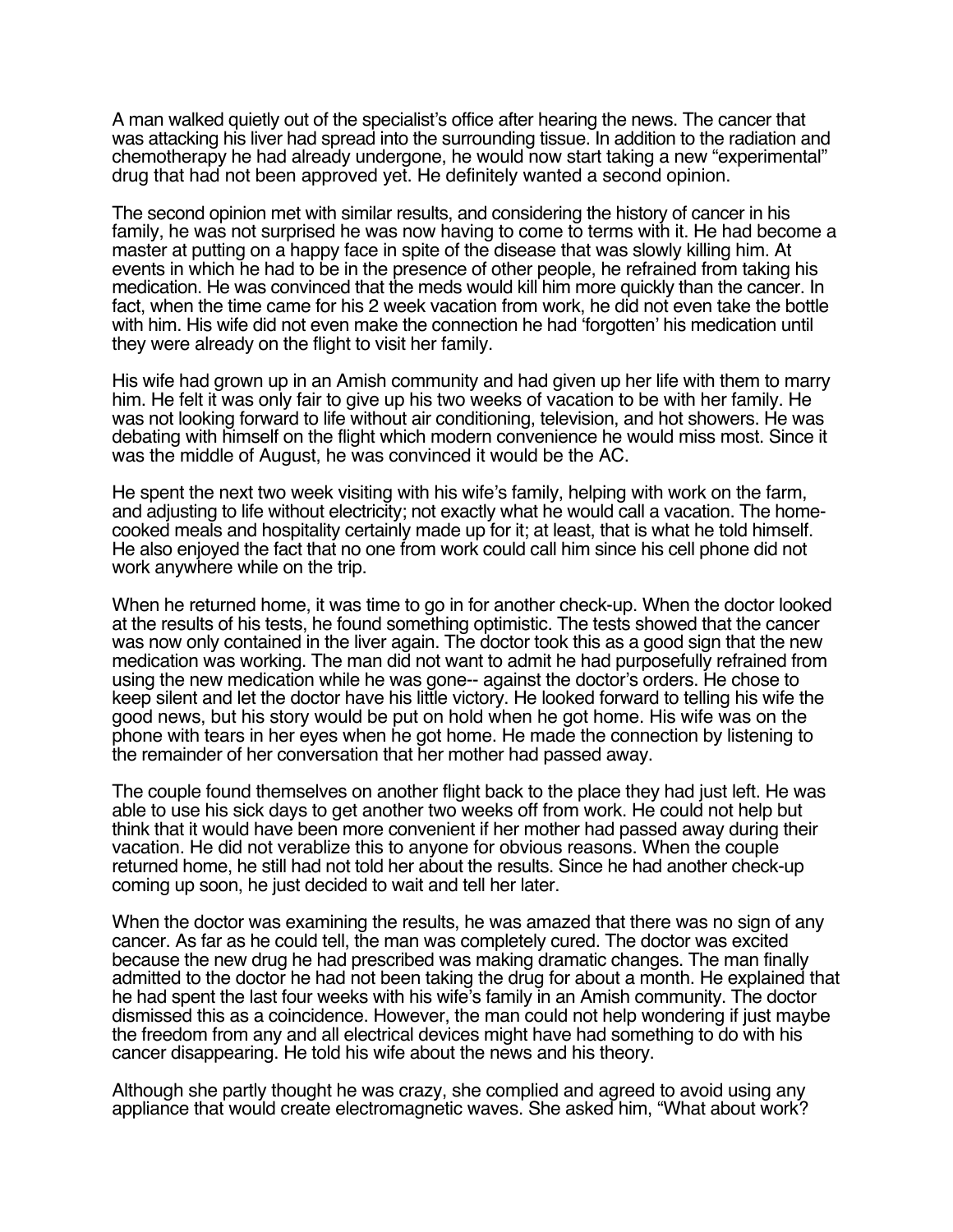A man walked quietly out of the specialist's office after hearing the news. The cancer that was attacking his liver had spread into the surrounding tissue. In addition to the radiation and chemotherapy he had already undergone, he would now start taking a new "experimental" drug that had not been approved yet. He definitely wanted a second opinion.

The second opinion met with similar results, and considering the history of cancer in his family, he was not surprised he was now having to come to terms with it. He had become a master at putting on a happy face in spite of the disease that was slowly killing him. At events in which he had to be in the presence of other people, he refrained from taking his medication. He was convinced that the meds would kill him more quickly than the cancer. In fact, when the time came for his 2 week vacation from work, he did not even take the bottle with him. His wife did not even make the connection he had 'forgotten' his medication until they were already on the flight to visit her family.

His wife had grown up in an Amish community and had given up her life with them to marry him. He felt it was only fair to give up his two weeks of vacation to be with her family. He was not looking forward to life without air conditioning, television, and hot showers. He was debating with himself on the flight which modern convenience he would miss most. Since it was the middle of August, he was convinced it would be the AC.

He spent the next two week visiting with his wife's family, helping with work on the farm, and adjusting to life without electricity; not exactly what he would call a vacation. The homecooked meals and hospitality certainly made up for it; at least, that is what he told himself. He also enjoyed the fact that no one from work could call him since his cell phone did not work anywhere while on the trip.

When he returned home, it was time to go in for another check-up. When the doctor looked at the results of his tests, he found something optimistic. The tests showed that the cancer was now only contained in the liver again. The doctor took this as a good sign that the new medication was working. The man did not want to admit he had purposefully refrained from using the new medication while he was gone-- against the doctor's orders. He chose to keep silent and let the doctor have his little victory. He looked forward to telling his wife the good news, but his story would be put on hold when he got home. His wife was on the phone with tears in her eyes when he got home. He made the connection by listening to the remainder of her conversation that her mother had passed away.

The couple found themselves on another flight back to the place they had just left. He was able to use his sick days to get another two weeks off from work. He could not help but think that it would have been more convenient if her mother had passed away during their vacation. He did not verablize this to anyone for obvious reasons. When the couple returned home, he still had not told her about the results. Since he had another check-up coming up soon, he just decided to wait and tell her later.

When the doctor was examining the results, he was amazed that there was no sign of any cancer. As far as he could tell, the man was completely cured. The doctor was excited because the new drug he had prescribed was making dramatic changes. The man finally admitted to the doctor he had not been taking the drug for about a month. He explained that he had spent the last four weeks with his wife's family in an Amish community. The doctor dismissed this as a coincidence. However, the man could not help wondering if just maybe the freedom from any and all electrical devices might have had something to do with his cancer disappearing. He told his wife about the news and his theory.

Although she partly thought he was crazy, she complied and agreed to avoid using any appliance that would create electromagnetic waves. She asked him, "What about work?